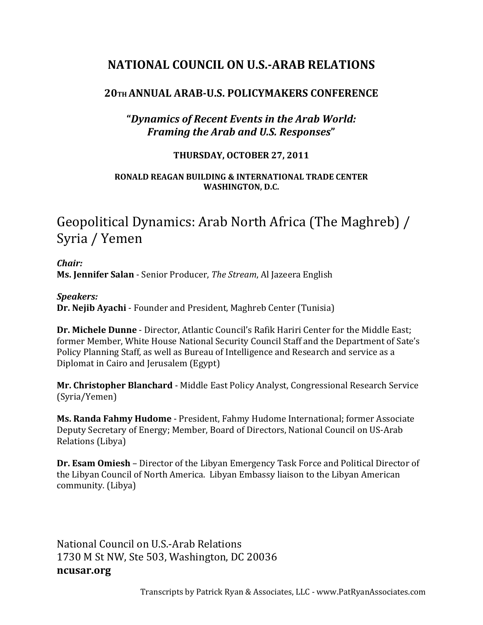# **NATIONAL COUNCIL ON U.S.ARAB RELATIONS**

# **20TH ANNUAL ARABU.S. POLICYMAKERS CONFERENCE**

# **"***Dynamics of Recent Events in the Arab World: Framing the Arab and U.S. Responses***"**

### **THURSDAY, OCTOBER 27, 2011**

### **RONALD REAGAN BUILDING & INTERNATIONAL TRADE CENTER WASHINGTON, D.C.**

# Geopolitical Dynamics: Arab North Africa (The Maghreb) / Syria / Yemen

### *Chair:* **Ms. Jennifer Salan** ‐ Senior Producer, *The Stream*, Al Jazeera English

### *Speakers:*

**Dr. Nejib Ayachi** ‐ Founder and President, Maghreb Center (Tunisia)

**Dr. Michele Dunne** ‐ Director, Atlantic Council's Rafik Hariri Center for the Middle East; former Member, White House National Security Council Staff and the Department of Sate's Policy Planning Staff, as well as Bureau of Intelligence and Research and service as a Diplomat in Cairo and Jerusalem (Egypt)

**Mr. Christopher Blanchard** ‐ Middle East Policy Analyst, Congressional Research Service (Syria/Yemen)

**Ms. Randa Fahmy Hudome** ‐ President, Fahmy Hudome International; former Associate Deputy Secretary of Energy; Member, Board of Directors, National Council on US‐Arab Relations (Libya)

**Dr. Esam Omiesh** – Director of the Libyan Emergency Task Force and Political Director of the Libyan Council of North America. Libyan Embassy liaison to the Libyan American community. (Libya)

National Council on U.S.‐Arab Relations 1730 M St NW, Ste 503, Washington, DC 20036 **ncusar.org**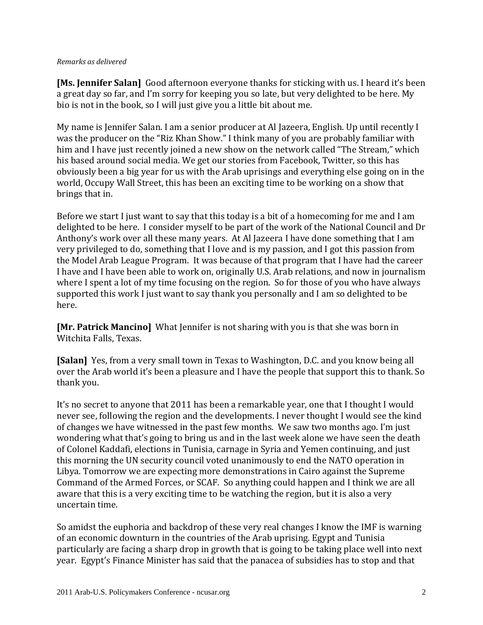#### *Remarks as delivered*

**[Ms. Jennifer Salan]** Good afternoon everyone thanks for sticking with us. I heard it's been a great day so far, and I'm sorry for keeping you so late, but very delighted to be here. My bio is not in the book, so I will just give you a little bit about me.

My name is Jennifer Salan. I am a senior producer at Al Jazeera, English. Up until recently I was the producer on the "Riz Khan Show." I think many of you are probably familiar with him and I have just recently joined a new show on the network called "The Stream," which his based around social media. We get our stories from Facebook, Twitter, so this has obviously been a big year for us with the Arab uprisings and everything else going on in the world, Occupy Wall Street, this has been an exciting time to be working on a show that brings that in.

Before we start I just want to say that this today is a bit of a homecoming for me and I am delighted to be here. I consider myself to be part of the work of the National Council and Dr Anthony's work over all these many years. At Al Jazeera I have done something that I am very privileged to do, something that I love and is my passion, and I got this passion from the Model Arab League Program. It was because of that program that I have had the career I have and I have been able to work on, originally U.S. Arab relations, and now in journalism where I spent a lot of my time focusing on the region. So for those of you who have always supported this work I just want to say thank you personally and I am so delighted to be here.

**[Mr. Patrick Mancino]** What Jennifer is not sharing with you is that she was born in Witchita Falls, Texas.

**[Salan]** Yes, from a very small town in Texas to Washington, D.C. and you know being all over the Arab world it's been a pleasure and I have the people that support this to thank. So thank you.

It's no secret to anyone that 2011 has been a remarkable year, one that I thought I would never see, following the region and the developments. I never thought I would see the kind of changes we have witnessed in the past few months. We saw two months ago. I'm just wondering what that's going to bring us and in the last week alone we have seen the death of Colonel Kaddafi, elections in Tunisia, carnage in Syria and Yemen continuing, and just this morning the UN security council voted unanimously to end the NATO operation in Libya. Tomorrow we are expecting more demonstrations in Cairo against the Supreme Command of the Armed Forces, or SCAF. So anything could happen and I think we are all aware that this is a very exciting time to be watching the region, but it is also a very uncertain time.

So amidst the euphoria and backdrop of these very real changes I know the IMF is warning of an economic downturn in the countries of the Arab uprising. Egypt and Tunisia particularly are facing a sharp drop in growth that is going to be taking place well into next year. Egypt's Finance Minister has said that the panacea of subsidies has to stop and that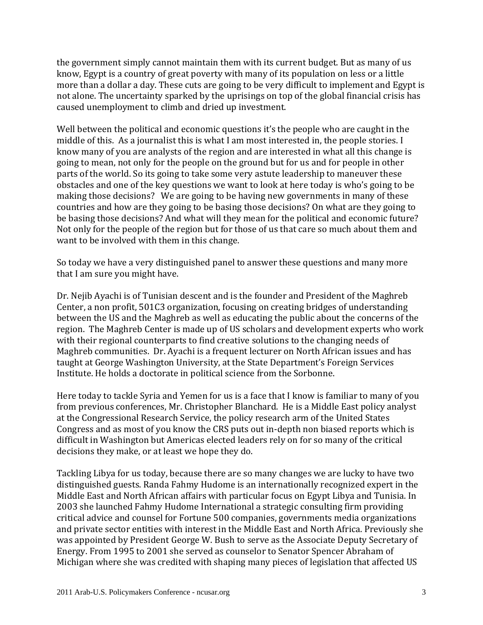the government simply cannot maintain them with its current budget. But as many of us know, Egypt is a country of great poverty with many of its population on less or a little more than a dollar a day. These cuts are going to be very difficult to implement and Egypt is not alone. The uncertainty sparked by the uprisings on top of the global financial crisis has caused unemployment to climb and dried up investment.

Well between the political and economic questions it's the people who are caught in the middle of this. As a journalist this is what I am most interested in, the people stories. I know many of you are analysts of the region and are interested in what all this change is going to mean, not only for the people on the ground but for us and for people in other parts of the world. So its going to take some very astute leadership to maneuver these obstacles and one of the key questions we want to look at here today is who's going to be making those decisions? We are going to be having new governments in many of these countries and how are they going to be basing those decisions? On what are they going to be basing those decisions? And what will they mean for the political and economic future? Not only for the people of the region but for those of us that care so much about them and want to be involved with them in this change.

So today we have a very distinguished panel to answer these questions and many more that I am sure you might have.

Dr. Nejib Ayachi is of Tunisian descent and is the founder and President of the Maghreb Center, a non profit, 501C3 organization, focusing on creating bridges of understanding between the US and the Maghreb as well as educating the public about the concerns of the region. The Maghreb Center is made up of US scholars and development experts who work with their regional counterparts to find creative solutions to the changing needs of Maghreb communities. Dr. Ayachi is a frequent lecturer on North African issues and has taught at George Washington University, at the State Department's Foreign Services Institute. He holds a doctorate in political science from the Sorbonne.

Here today to tackle Syria and Yemen for us is a face that I know is familiar to many of you from previous conferences, Mr. Christopher Blanchard. He is a Middle East policy analyst at the Congressional Research Service, the policy research arm of the United States Congress and as most of you know the CRS puts out in‐depth non biased reports which is difficult in Washington but Americas elected leaders rely on for so many of the critical decisions they make, or at least we hope they do.

Tackling Libya for us today, because there are so many changes we are lucky to have two distinguished guests. Randa Fahmy Hudome is an internationally recognized expert in the Middle East and North African affairs with particular focus on Egypt Libya and Tunisia. In 2003 she launched Fahmy Hudome International a strategic consulting firm providing critical advice and counsel for Fortune 500 companies, governments media organizations and private sector entities with interest in the Middle East and North Africa. Previously she was appointed by President George W. Bush to serve as the Associate Deputy Secretary of Energy. From 1995 to 2001 she served as counselor to Senator Spencer Abraham of Michigan where she was credited with shaping many pieces of legislation that affected US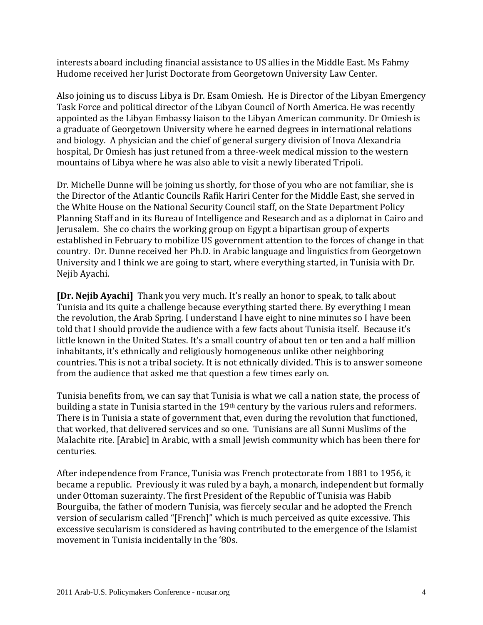interests aboard including financial assistance to US allies in the Middle East. Ms Fahmy Hudome received her Jurist Doctorate from Georgetown University Law Center.

Also joining us to discuss Libya is Dr. Esam Omiesh. He is Director of the Libyan Emergency Task Force and political director of the Libyan Council of North America. He was recently appointed as the Libyan Embassy liaison to the Libyan American community. Dr Omiesh is a graduate of Georgetown University where he earned degrees in international relations and biology. A physician and the chief of general surgery division of Inova Alexandria hospital, Dr Omiesh has just retuned from a three‐week medical mission to the western mountains of Libya where he was also able to visit a newly liberated Tripoli.

Dr. Michelle Dunne will be joining us shortly, for those of you who are not familiar, she is the Director of the Atlantic Councils Rafik Hariri Center for the Middle East, she served in the White House on the National Security Council staff, on the State Department Policy Planning Staff and in its Bureau of Intelligence and Research and as a diplomat in Cairo and Jerusalem. She co chairs the working group on Egypt a bipartisan group of experts established in February to mobilize US government attention to the forces of change in that country. Dr. Dunne received her Ph.D. in Arabic language and linguistics from Georgetown University and I think we are going to start, where everything started, in Tunisia with Dr. Nejib Ayachi.

**[Dr. Nejib Ayachi]** Thank you very much. It's really an honor to speak, to talk about Tunisia and its quite a challenge because everything started there. By everything I mean the revolution, the Arab Spring. I understand I have eight to nine minutes so I have been told that I should provide the audience with a few facts about Tunisia itself. Because it's little known in the United States. It's a small country of about ten or ten and a half million inhabitants, it's ethnically and religiously homogeneous unlike other neighboring countries. This is not a tribal society. It is not ethnically divided. This is to answer someone from the audience that asked me that question a few times early on.

Tunisia benefits from, we can say that Tunisia is what we call a nation state, the process of building a state in Tunisia started in the 19th century by the various rulers and reformers. There is in Tunisia a state of government that, even during the revolution that functioned, that worked, that delivered services and so one. Tunisians are all Sunni Muslims of the Malachite rite. [Arabic] in Arabic, with a small Jewish community which has been there for centuries.

After independence from France, Tunisia was French protectorate from 1881 to 1956, it became a republic. Previously it was ruled by a bayh, a monarch, independent but formally under Ottoman suzerainty. The first President of the Republic of Tunisia was Habib Bourguiba, the father of modern Tunisia, was fiercely secular and he adopted the French version of secularism called "[French]" which is much perceived as quite excessive. This excessive secularism is considered as having contributed to the emergence of the Islamist movement in Tunisia incidentally in the '80s.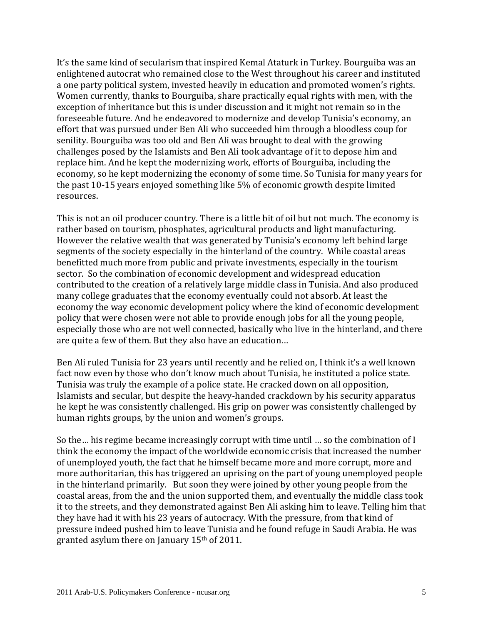It's the same kind of secularism that inspired Kemal Ataturk in Turkey. Bourguiba was an enlightened autocrat who remained close to the West throughout his career and instituted a one party political system, invested heavily in education and promoted women's rights. Women currently, thanks to Bourguiba, share practically equal rights with men, with the exception of inheritance but this is under discussion and it might not remain so in the foreseeable future. And he endeavored to modernize and develop Tunisia's economy, an effort that was pursued under Ben Ali who succeeded him through a bloodless coup for senility. Bourguiba was too old and Ben Ali was brought to deal with the growing challenges posed by the Islamists and Ben Ali took advantage of it to depose him and replace him. And he kept the modernizing work, efforts of Bourguiba, including the economy, so he kept modernizing the economy of some time. So Tunisia for many years for the past 10‐15 years enjoyed something like 5% of economic growth despite limited resources.

This is not an oil producer country. There is a little bit of oil but not much. The economy is rather based on tourism, phosphates, agricultural products and light manufacturing. However the relative wealth that was generated by Tunisia's economy left behind large segments of the society especially in the hinterland of the country. While coastal areas benefitted much more from public and private investments, especially in the tourism sector. So the combination of economic development and widespread education contributed to the creation of a relatively large middle class in Tunisia. And also produced many college graduates that the economy eventually could not absorb. At least the economy the way economic development policy where the kind of economic development policy that were chosen were not able to provide enough jobs for all the young people, especially those who are not well connected, basically who live in the hinterland, and there are quite a few of them. But they also have an education…

Ben Ali ruled Tunisia for 23 years until recently and he relied on, I think it's a well known fact now even by those who don't know much about Tunisia, he instituted a police state. Tunisia was truly the example of a police state. He cracked down on all opposition, Islamists and secular, but despite the heavy‐handed crackdown by his security apparatus he kept he was consistently challenged. His grip on power was consistently challenged by human rights groups, by the union and women's groups.

So the… his regime became increasingly corrupt with time until … so the combination of I think the economy the impact of the worldwide economic crisis that increased the number of unemployed youth, the fact that he himself became more and more corrupt, more and more authoritarian, this has triggered an uprising on the part of young unemployed people in the hinterland primarily. But soon they were joined by other young people from the coastal areas, from the and the union supported them, and eventually the middle class took it to the streets, and they demonstrated against Ben Ali asking him to leave. Telling him that they have had it with his 23 years of autocracy. With the pressure, from that kind of pressure indeed pushed him to leave Tunisia and he found refuge in Saudi Arabia. He was granted asylum there on January 15th of 2011.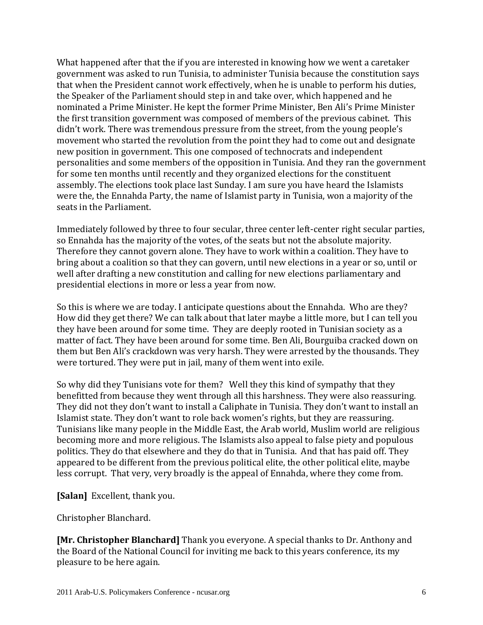What happened after that the if you are interested in knowing how we went a caretaker government was asked to run Tunisia, to administer Tunisia because the constitution says that when the President cannot work effectively, when he is unable to perform his duties, the Speaker of the Parliament should step in and take over, which happened and he nominated a Prime Minister. He kept the former Prime Minister, Ben Ali's Prime Minister the first transition government was composed of members of the previous cabinet. This didn't work. There was tremendous pressure from the street, from the young people's movement who started the revolution from the point they had to come out and designate new position in government. This one composed of technocrats and independent personalities and some members of the opposition in Tunisia. And they ran the government for some ten months until recently and they organized elections for the constituent assembly. The elections took place last Sunday. I am sure you have heard the Islamists were the, the Ennahda Party, the name of Islamist party in Tunisia, won a majority of the seats in the Parliament.

Immediately followed by three to four secular, three center left-center right secular parties, so Ennahda has the majority of the votes, of the seats but not the absolute majority. Therefore they cannot govern alone. They have to work within a coalition. They have to bring about a coalition so that they can govern, until new elections in a year or so, until or well after drafting a new constitution and calling for new elections parliamentary and presidential elections in more or less a year from now.

So this is where we are today. I anticipate questions about the Ennahda. Who are they? How did they get there? We can talk about that later maybe a little more, but I can tell you they have been around for some time. They are deeply rooted in Tunisian society as a matter of fact. They have been around for some time. Ben Ali, Bourguiba cracked down on them but Ben Ali's crackdown was very harsh. They were arrested by the thousands. They were tortured. They were put in jail, many of them went into exile.

So why did they Tunisians vote for them? Well they this kind of sympathy that they benefitted from because they went through all this harshness. They were also reassuring. They did not they don't want to install a Caliphate in Tunisia. They don't want to install an Islamist state. They don't want to role back women's rights, but they are reassuring. Tunisians like many people in the Middle East, the Arab world, Muslim world are religious becoming more and more religious. The Islamists also appeal to false piety and populous politics. They do that elsewhere and they do that in Tunisia. And that has paid off. They appeared to be different from the previous political elite, the other political elite, maybe less corrupt. That very, very broadly is the appeal of Ennahda, where they come from.

**[Salan]** Excellent, thank you.

Christopher Blanchard.

**[Mr. Christopher Blanchard]** Thank you everyone. A special thanks to Dr. Anthony and the Board of the National Council for inviting me back to this years conference, its my pleasure to be here again.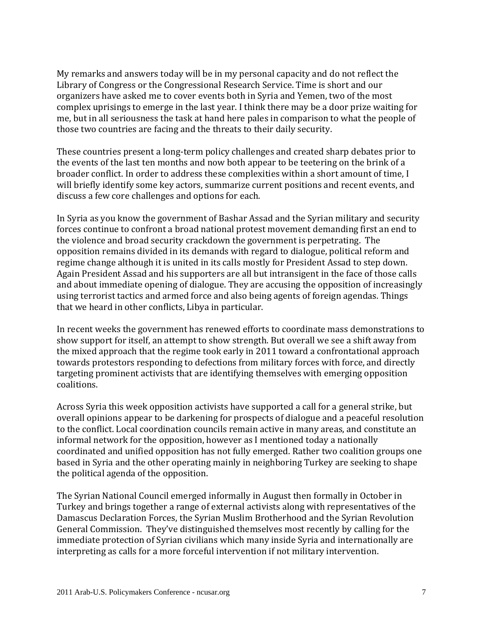My remarks and answers today will be in my personal capacity and do not reflect the Library of Congress or the Congressional Research Service. Time is short and our organizers have asked me to cover events both in Syria and Yemen, two of the most complex uprisings to emerge in the last year. I think there may be a door prize waiting for me, but in all seriousness the task at hand here pales in comparison to what the people of those two countries are facing and the threats to their daily security.

These countries present a long-term policy challenges and created sharp debates prior to the events of the last ten months and now both appear to be teetering on the brink of a broader conflict. In order to address these complexities within a short amount of time, I will briefly identify some key actors, summarize current positions and recent events, and discuss a few core challenges and options for each.

In Syria as you know the government of Bashar Assad and the Syrian military and security forces continue to confront a broad national protest movement demanding first an end to the violence and broad security crackdown the government is perpetrating. The opposition remains divided in its demands with regard to dialogue, political reform and regime change although it is united in its calls mostly for President Assad to step down. Again President Assad and his supporters are all but intransigent in the face of those calls and about immediate opening of dialogue. They are accusing the opposition of increasingly using terrorist tactics and armed force and also being agents of foreign agendas. Things that we heard in other conflicts, Libya in particular.

In recent weeks the government has renewed efforts to coordinate mass demonstrations to show support for itself, an attempt to show strength. But overall we see a shift away from the mixed approach that the regime took early in 2011 toward a confrontational approach towards protestors responding to defections from military forces with force, and directly targeting prominent activists that are identifying themselves with emerging opposition coalitions.

Across Syria this week opposition activists have supported a call for a general strike, but overall opinions appear to be darkening for prospects of dialogue and a peaceful resolution to the conflict. Local coordination councils remain active in many areas, and constitute an informal network for the opposition, however as I mentioned today a nationally coordinated and unified opposition has not fully emerged. Rather two coalition groups one based in Syria and the other operating mainly in neighboring Turkey are seeking to shape the political agenda of the opposition.

The Syrian National Council emerged informally in August then formally in October in Turkey and brings together a range of external activists along with representatives of the Damascus Declaration Forces, the Syrian Muslim Brotherhood and the Syrian Revolution General Commission. They've distinguished themselves most recently by calling for the immediate protection of Syrian civilians which many inside Syria and internationally are interpreting as calls for a more forceful intervention if not military intervention.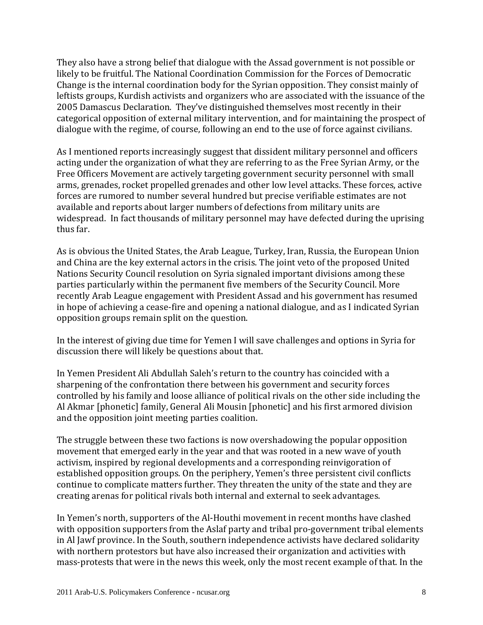They also have a strong belief that dialogue with the Assad government is not possible or likely to be fruitful. The National Coordination Commission for the Forces of Democratic Change is the internal coordination body for the Syrian opposition. They consist mainly of leftists groups, Kurdish activists and organizers who are associated with the issuance of the 2005 Damascus Declaration. They've distinguished themselves most recently in their categorical opposition of external military intervention, and for maintaining the prospect of dialogue with the regime, of course, following an end to the use of force against civilians.

As I mentioned reports increasingly suggest that dissident military personnel and officers acting under the organization of what they are referring to as the Free Syrian Army, or the Free Officers Movement are actively targeting government security personnel with small arms, grenades, rocket propelled grenades and other low level attacks. These forces, active forces are rumored to number several hundred but precise verifiable estimates are not available and reports about larger numbers of defections from military units are widespread. In fact thousands of military personnel may have defected during the uprising thus far.

As is obvious the United States, the Arab League, Turkey, Iran, Russia, the European Union and China are the key external actors in the crisis. The joint veto of the proposed United Nations Security Council resolution on Syria signaled important divisions among these parties particularly within the permanent five members of the Security Council. More recently Arab League engagement with President Assad and his government has resumed in hope of achieving a cease‐fire and opening a national dialogue, and as I indicated Syrian opposition groups remain split on the question.

In the interest of giving due time for Yemen I will save challenges and options in Syria for discussion there will likely be questions about that.

In Yemen President Ali Abdullah Saleh's return to the country has coincided with a sharpening of the confrontation there between his government and security forces controlled by his family and loose alliance of political rivals on the other side including the Al Akmar [phonetic] family, General Ali Mousin [phonetic] and his first armored division and the opposition joint meeting parties coalition.

The struggle between these two factions is now overshadowing the popular opposition movement that emerged early in the year and that was rooted in a new wave of youth activism, inspired by regional developments and a corresponding reinvigoration of established opposition groups. On the periphery, Yemen's three persistent civil conflicts continue to complicate matters further. They threaten the unity of the state and they are creating arenas for political rivals both internal and external to seek advantages.

In Yemen's north, supporters of the Al‐Houthi movement in recent months have clashed with opposition supporters from the Aslaf party and tribal pro-government tribal elements in Al Jawf province. In the South, southern independence activists have declared solidarity with northern protestors but have also increased their organization and activities with mass‐protests that were in the news this week, only the most recent example of that. In the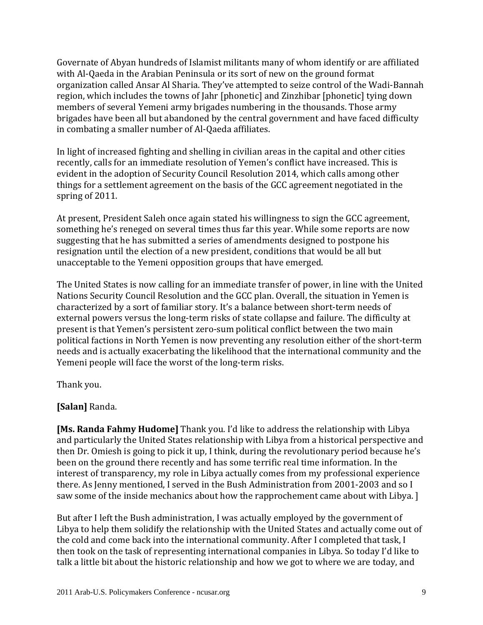Governate of Abyan hundreds of Islamist militants many of whom identify or are affiliated with Al-Qaeda in the Arabian Peninsula or its sort of new on the ground format organization called Ansar Al Sharia. They've attempted to seize control of the Wadi‐Bannah region, which includes the towns of Jahr [phonetic] and Zinzhibar [phonetic] tying down members of several Yemeni army brigades numbering in the thousands. Those army brigades have been all but abandoned by the central government and have faced difficulty in combating a smaller number of Al‐Qaeda affiliates.

In light of increased fighting and shelling in civilian areas in the capital and other cities recently, calls for an immediate resolution of Yemen's conflict have increased. This is evident in the adoption of Security Council Resolution 2014, which calls among other things for a settlement agreement on the basis of the GCC agreement negotiated in the spring of 2011.

At present, President Saleh once again stated his willingness to sign the GCC agreement, something he's reneged on several times thus far this year. While some reports are now suggesting that he has submitted a series of amendments designed to postpone his resignation until the election of a new president, conditions that would be all but unacceptable to the Yemeni opposition groups that have emerged.

The United States is now calling for an immediate transfer of power, in line with the United Nations Security Council Resolution and the GCC plan. Overall, the situation in Yemen is characterized by a sort of familiar story. It's a balance between short‐term needs of external powers versus the long-term risks of state collapse and failure. The difficulty at present is that Yemen's persistent zero-sum political conflict between the two main political factions in North Yemen is now preventing any resolution either of the short‐term needs and is actually exacerbating the likelihood that the international community and the Yemeni people will face the worst of the long-term risks.

Thank you.

# **[Salan]** Randa.

**[Ms. Randa Fahmy Hudome]** Thank you. I'd like to address the relationship with Libya and particularly the United States relationship with Libya from a historical perspective and then Dr. Omiesh is going to pick it up, I think, during the revolutionary period because he's been on the ground there recently and has some terrific real time information. In the interest of transparency, my role in Libya actually comes from my professional experience there. As Jenny mentioned, I served in the Bush Administration from 2001‐2003 and so I saw some of the inside mechanics about how the rapprochement came about with Libya. ]

But after I left the Bush administration, I was actually employed by the government of Libya to help them solidify the relationship with the United States and actually come out of the cold and come back into the international community. After I completed that task, I then took on the task of representing international companies in Libya. So today I'd like to talk a little bit about the historic relationship and how we got to where we are today, and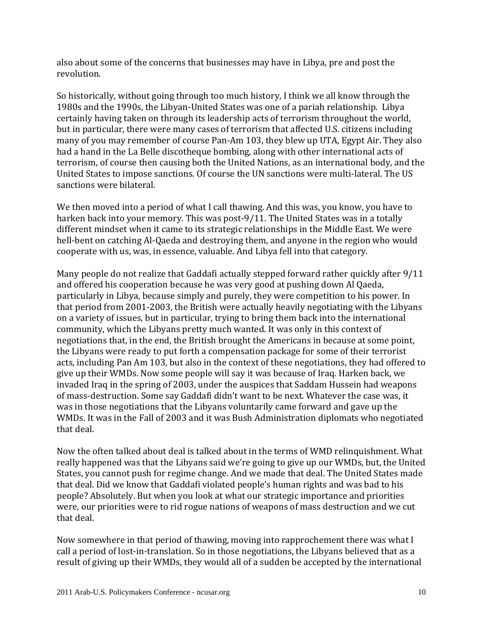also about some of the concerns that businesses may have in Libya, pre and post the revolution.

So historically, without going through too much history, I think we all know through the 1980s and the 1990s, the Libyan‐United States was one of a pariah relationship. Libya certainly having taken on through its leadership acts of terrorism throughout the world, but in particular, there were many cases of terrorism that affected U.S. citizens including many of you may remember of course Pan‐Am 103, they blew up UTA, Egypt Air. They also had a hand in the La Belle discotheque bombing, along with other international acts of terrorism, of course then causing both the United Nations, as an international body, and the United States to impose sanctions. Of course the UN sanctions were multi‐lateral. The US sanctions were bilateral.

We then moved into a period of what I call thawing. And this was, you know, you have to harken back into your memory. This was post-9/11. The United States was in a totally different mindset when it came to its strategic relationships in the Middle East. We were hell-bent on catching Al-Qaeda and destroying them, and anyone in the region who would cooperate with us, was, in essence, valuable. And Libya fell into that category.

Many people do not realize that Gaddafi actually stepped forward rather quickly after 9/11 and offered his cooperation because he was very good at pushing down Al Qaeda, particularly in Libya, because simply and purely, they were competition to his power. In that period from 2001‐2003, the British were actually heavily negotiating with the Libyans on a variety of issues, but in particular, trying to bring them back into the international community, which the Libyans pretty much wanted. It was only in this context of negotiations that, in the end, the British brought the Americans in because at some point, the Libyans were ready to put forth a compensation package for some of their terrorist acts, including Pan Am 103, but also in the context of these negotiations, they had offered to give up their WMDs. Now some people will say it was because of Iraq. Harken back, we invaded Iraq in the spring of 2003, under the auspices that Saddam Hussein had weapons of mass‐destruction. Some say Gaddafi didn't want to be next. Whatever the case was, it was in those negotiations that the Libyans voluntarily came forward and gave up the WMDs. It was in the Fall of 2003 and it was Bush Administration diplomats who negotiated that deal.

Now the often talked about deal is talked about in the terms of WMD relinquishment. What really happened was that the Libyans said we're going to give up our WMDs, but, the United States, you cannot push for regime change. And we made that deal. The United States made that deal. Did we know that Gaddafi violated people's human rights and was bad to his people? Absolutely. But when you look at what our strategic importance and priorities were, our priorities were to rid rogue nations of weapons of mass destruction and we cut that deal.

Now somewhere in that period of thawing, moving into rapprochement there was what I call a period of lost‐in‐translation. So in those negotiations, the Libyans believed that as a result of giving up their WMDs, they would all of a sudden be accepted by the international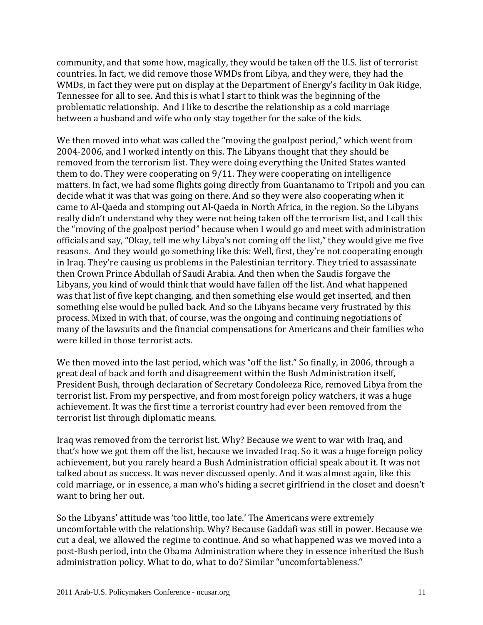community, and that some how, magically, they would be taken off the U.S. list of terrorist countries. In fact, we did remove those WMDs from Libya, and they were, they had the WMDs, in fact they were put on display at the Department of Energy's facility in Oak Ridge, Tennessee for all to see. And this is what I start to think was the beginning of the problematic relationship. And I like to describe the relationship as a cold marriage between a husband and wife who only stay together for the sake of the kids.

We then moved into what was called the "moving the goalpost period," which went from 2004‐2006, and I worked intently on this. The Libyans thought that they should be removed from the terrorism list. They were doing everything the United States wanted them to do. They were cooperating on 9/11. They were cooperating on intelligence matters. In fact, we had some flights going directly from Guantanamo to Tripoli and you can decide what it was that was going on there. And so they were also cooperating when it came to Al‐Qaeda and stomping out Al‐Qaeda in North Africa, in the region. So the Libyans really didn't understand why they were not being taken off the terrorism list, and I call this the "moving of the goalpost period" because when I would go and meet with administration officials and say, "Okay, tell me why Libya's not coming off the list," they would give me five reasons. And they would go something like this: Well, first, they're not cooperating enough in Iraq. They're causing us problems in the Palestinian territory. They tried to assassinate then Crown Prince Abdullah of Saudi Arabia. And then when the Saudis forgave the Libyans, you kind of would think that would have fallen off the list. And what happened was that list of five kept changing, and then something else would get inserted, and then something else would be pulled back. And so the Libyans became very frustrated by this process. Mixed in with that, of course, was the ongoing and continuing negotiations of many of the lawsuits and the financial compensations for Americans and their families who were killed in those terrorist acts.

We then moved into the last period, which was "off the list." So finally, in 2006, through a great deal of back and forth and disagreement within the Bush Administration itself, President Bush, through declaration of Secretary Condoleeza Rice, removed Libya from the terrorist list. From my perspective, and from most foreign policy watchers, it was a huge achievement. It was the first time a terrorist country had ever been removed from the terrorist list through diplomatic means.

Iraq was removed from the terrorist list. Why? Because we went to war with Iraq, and that's how we got them off the list, because we invaded Iraq. So it was a huge foreign policy achievement, but you rarely heard a Bush Administration official speak about it. It was not talked about as success. It was never discussed openly. And it was almost again, like this cold marriage, or in essence, a man who's hiding a secret girlfriend in the closet and doesn't want to bring her out.

So the Libyans' attitude was 'too little, too late.' The Americans were extremely uncomfortable with the relationship. Why? Because Gaddafi was still in power. Because we cut a deal, we allowed the regime to continue. And so what happened was we moved into a post‐Bush period, into the Obama Administration where they in essence inherited the Bush administration policy. What to do, what to do? Similar "uncomfortableness."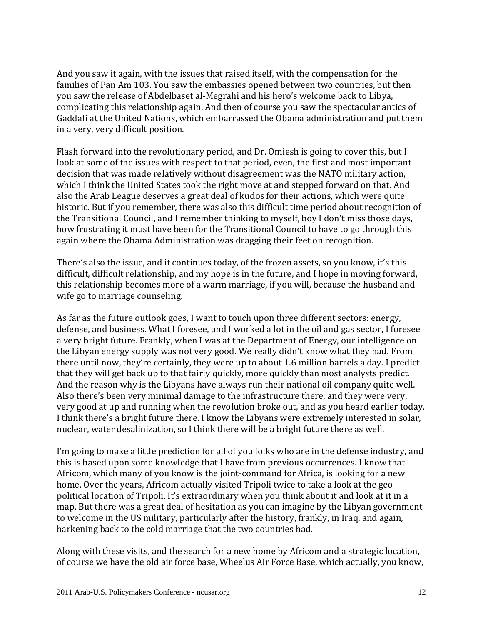And you saw it again, with the issues that raised itself, with the compensation for the families of Pan Am 103. You saw the embassies opened between two countries, but then you saw the release of Abdelbaset al‐Megrahi and his hero's welcome back to Libya, complicating this relationship again. And then of course you saw the spectacular antics of Gaddafi at the United Nations, which embarrassed the Obama administration and put them in a very, very difficult position.

Flash forward into the revolutionary period, and Dr. Omiesh is going to cover this, but I look at some of the issues with respect to that period, even, the first and most important decision that was made relatively without disagreement was the NATO military action, which I think the United States took the right move at and stepped forward on that. And also the Arab League deserves a great deal of kudos for their actions, which were quite historic. But if you remember, there was also this difficult time period about recognition of the Transitional Council, and I remember thinking to myself, boy I don't miss those days, how frustrating it must have been for the Transitional Council to have to go through this again where the Obama Administration was dragging their feet on recognition.

There's also the issue, and it continues today, of the frozen assets, so you know, it's this difficult, difficult relationship, and my hope is in the future, and I hope in moving forward, this relationship becomes more of a warm marriage, if you will, because the husband and wife go to marriage counseling.

As far as the future outlook goes, I want to touch upon three different sectors: energy, defense, and business. What I foresee, and I worked a lot in the oil and gas sector, I foresee a very bright future. Frankly, when I was at the Department of Energy, our intelligence on the Libyan energy supply was not very good. We really didn't know what they had. From there until now, they're certainly, they were up to about 1.6 million barrels a day. I predict that they will get back up to that fairly quickly, more quickly than most analysts predict. And the reason why is the Libyans have always run their national oil company quite well. Also there's been very minimal damage to the infrastructure there, and they were very, very good at up and running when the revolution broke out, and as you heard earlier today, I think there's a bright future there. I know the Libyans were extremely interested in solar, nuclear, water desalinization, so I think there will be a bright future there as well.

I'm going to make a little prediction for all of you folks who are in the defense industry, and this is based upon some knowledge that I have from previous occurrences. I know that Africom, which many of you know is the joint‐command for Africa, is looking for a new home. Over the years, Africom actually visited Tripoli twice to take a look at the geopolitical location of Tripoli. It's extraordinary when you think about it and look at it in a map. But there was a great deal of hesitation as you can imagine by the Libyan government to welcome in the US military, particularly after the history, frankly, in Iraq, and again, harkening back to the cold marriage that the two countries had.

Along with these visits, and the search for a new home by Africom and a strategic location, of course we have the old air force base, Wheelus Air Force Base, which actually, you know,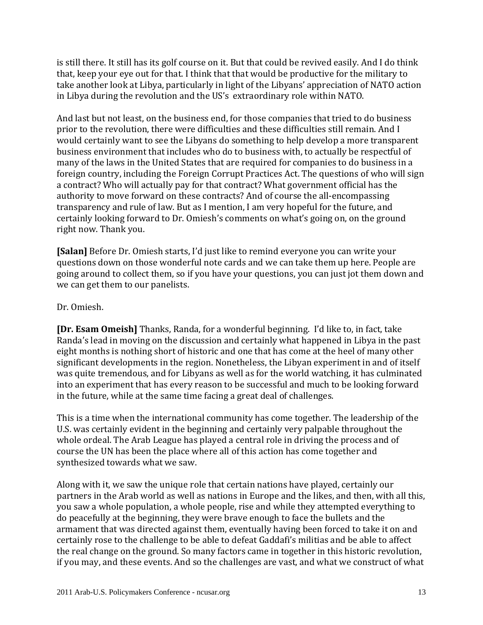is still there. It still has its golf course on it. But that could be revived easily. And I do think that, keep your eye out for that. I think that that would be productive for the military to take another look at Libya, particularly in light of the Libyans' appreciation of NATO action in Libya during the revolution and the US's extraordinary role within NATO.

And last but not least, on the business end, for those companies that tried to do business prior to the revolution, there were difficulties and these difficulties still remain. And I would certainly want to see the Libyans do something to help develop a more transparent business environment that includes who do to business with, to actually be respectful of many of the laws in the United States that are required for companies to do business in a foreign country, including the Foreign Corrupt Practices Act. The questions of who will sign a contract? Who will actually pay for that contract? What government official has the authority to move forward on these contracts? And of course the all‐encompassing transparency and rule of law. But as I mention, I am very hopeful for the future, and certainly looking forward to Dr. Omiesh's comments on what's going on, on the ground right now. Thank you.

**[Salan]** Before Dr. Omiesh starts, I'd just like to remind everyone you can write your questions down on those wonderful note cards and we can take them up here. People are going around to collect them, so if you have your questions, you can just jot them down and we can get them to our panelists.

Dr. Omiesh.

**[Dr. Esam Omeish]** Thanks, Randa, for a wonderful beginning. I'd like to, in fact, take Randa's lead in moving on the discussion and certainly what happened in Libya in the past eight months is nothing short of historic and one that has come at the heel of many other significant developments in the region. Nonetheless, the Libyan experiment in and of itself was quite tremendous, and for Libyans as well as for the world watching, it has culminated into an experiment that has every reason to be successful and much to be looking forward in the future, while at the same time facing a great deal of challenges.

This is a time when the international community has come together. The leadership of the U.S. was certainly evident in the beginning and certainly very palpable throughout the whole ordeal. The Arab League has played a central role in driving the process and of course the UN has been the place where all of this action has come together and synthesized towards what we saw.

Along with it, we saw the unique role that certain nations have played, certainly our partners in the Arab world as well as nations in Europe and the likes, and then, with all this, you saw a whole population, a whole people, rise and while they attempted everything to do peacefully at the beginning, they were brave enough to face the bullets and the armament that was directed against them, eventually having been forced to take it on and certainly rose to the challenge to be able to defeat Gaddafi's militias and be able to affect the real change on the ground. So many factors came in together in this historic revolution, if you may, and these events. And so the challenges are vast, and what we construct of what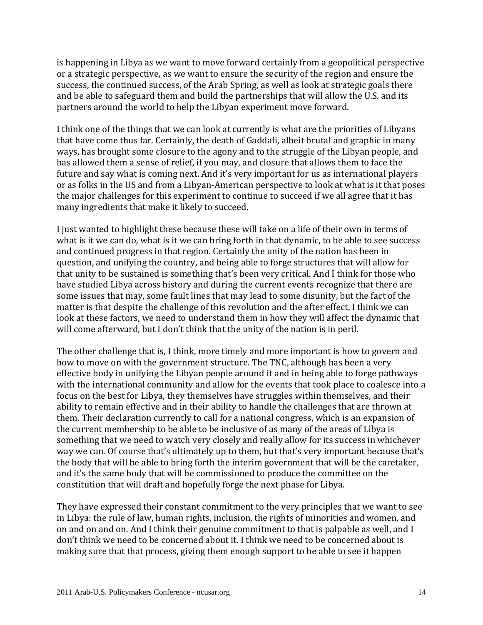is happening in Libya as we want to move forward certainly from a geopolitical perspective or a strategic perspective, as we want to ensure the security of the region and ensure the success, the continued success, of the Arab Spring, as well as look at strategic goals there and be able to safeguard them and build the partnerships that will allow the U.S. and its partners around the world to help the Libyan experiment move forward.

I think one of the things that we can look at currently is what are the priorities of Libyans that have come thus far. Certainly, the death of Gaddafi, albeit brutal and graphic in many ways, has brought some closure to the agony and to the struggle of the Libyan people, and has allowed them a sense of relief, if you may, and closure that allows them to face the future and say what is coming next. And it's very important for us as international players or as folks in the US and from a Libyan‐American perspective to look at what is it that poses the major challenges for this experiment to continue to succeed if we all agree that it has many ingredients that make it likely to succeed.

I just wanted to highlight these because these will take on a life of their own in terms of what is it we can do, what is it we can bring forth in that dynamic, to be able to see success and continued progress in that region. Certainly the unity of the nation has been in question, and unifying the country, and being able to forge structures that will allow for that unity to be sustained is something that's been very critical. And I think for those who have studied Libya across history and during the current events recognize that there are some issues that may, some fault lines that may lead to some disunity, but the fact of the matter is that despite the challenge of this revolution and the after effect, I think we can look at these factors, we need to understand them in how they will affect the dynamic that will come afterward, but I don't think that the unity of the nation is in peril.

The other challenge that is, I think, more timely and more important is how to govern and how to move on with the government structure. The TNC, although has been a very effective body in unifying the Libyan people around it and in being able to forge pathways with the international community and allow for the events that took place to coalesce into a focus on the best for Libya, they themselves have struggles within themselves, and their ability to remain effective and in their ability to handle the challenges that are thrown at them. Their declaration currently to call for a national congress, which is an expansion of the current membership to be able to be inclusive of as many of the areas of Libya is something that we need to watch very closely and really allow for its success in whichever way we can. Of course that's ultimately up to them, but that's very important because that's the body that will be able to bring forth the interim government that will be the caretaker, and it's the same body that will be commissioned to produce the committee on the constitution that will draft and hopefully forge the next phase for Libya.

They have expressed their constant commitment to the very principles that we want to see in Libya: the rule of law, human rights, inclusion, the rights of minorities and women, and on and on and on. And I think their genuine commitment to that is palpable as well, and I don't think we need to be concerned about it. I think we need to be concerned about is making sure that that process, giving them enough support to be able to see it happen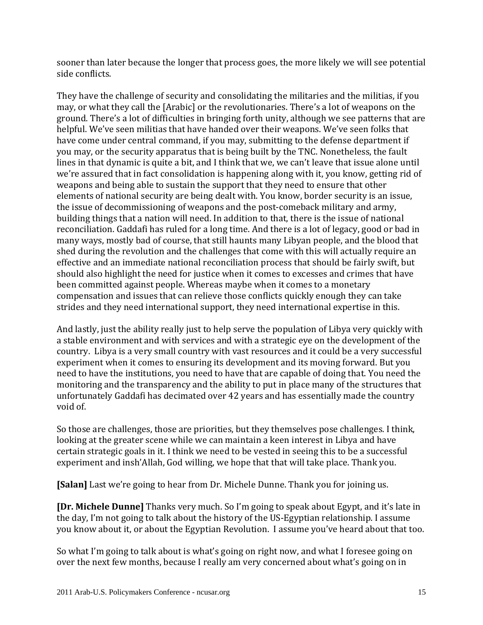sooner than later because the longer that process goes, the more likely we will see potential side conflicts.

They have the challenge of security and consolidating the militaries and the militias, if you may, or what they call the [Arabic] or the revolutionaries. There's a lot of weapons on the ground. There's a lot of difficulties in bringing forth unity, although we see patterns that are helpful. We've seen militias that have handed over their weapons. We've seen folks that have come under central command, if you may, submitting to the defense department if you may, or the security apparatus that is being built by the TNC. Nonetheless, the fault lines in that dynamic is quite a bit, and I think that we, we can't leave that issue alone until we're assured that in fact consolidation is happening along with it, you know, getting rid of weapons and being able to sustain the support that they need to ensure that other elements of national security are being dealt with. You know, border security is an issue, the issue of decommissioning of weapons and the post-comeback military and army, building things that a nation will need. In addition to that, there is the issue of national reconciliation. Gaddafi has ruled for a long time. And there is a lot of legacy, good or bad in many ways, mostly bad of course, that still haunts many Libyan people, and the blood that shed during the revolution and the challenges that come with this will actually require an effective and an immediate national reconciliation process that should be fairly swift, but should also highlight the need for justice when it comes to excesses and crimes that have been committed against people. Whereas maybe when it comes to a monetary compensation and issues that can relieve those conflicts quickly enough they can take strides and they need international support, they need international expertise in this.

And lastly, just the ability really just to help serve the population of Libya very quickly with a stable environment and with services and with a strategic eye on the development of the country. Libya is a very small country with vast resources and it could be a very successful experiment when it comes to ensuring its development and its moving forward. But you need to have the institutions, you need to have that are capable of doing that. You need the monitoring and the transparency and the ability to put in place many of the structures that unfortunately Gaddafi has decimated over 42 years and has essentially made the country void of.

So those are challenges, those are priorities, but they themselves pose challenges. I think, looking at the greater scene while we can maintain a keen interest in Libya and have certain strategic goals in it. I think we need to be vested in seeing this to be a successful experiment and insh'Allah, God willing, we hope that that will take place. Thank you.

**[Salan]** Last we're going to hear from Dr. Michele Dunne. Thank you for joining us.

**[Dr. Michele Dunne]** Thanks very much. So I'm going to speak about Egypt, and it's late in the day, I'm not going to talk about the history of the US‐Egyptian relationship. I assume you know about it, or about the Egyptian Revolution. I assume you've heard about that too.

So what I'm going to talk about is what's going on right now, and what I foresee going on over the next few months, because I really am very concerned about what's going on in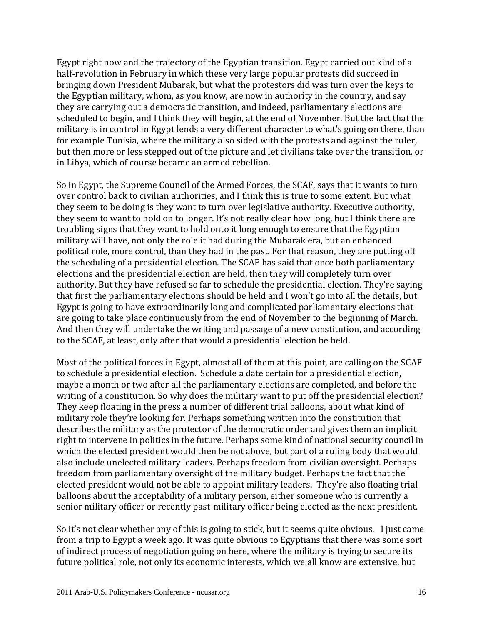Egypt right now and the trajectory of the Egyptian transition. Egypt carried out kind of a half-revolution in February in which these very large popular protests did succeed in bringing down President Mubarak, but what the protestors did was turn over the keys to the Egyptian military, whom, as you know, are now in authority in the country, and say they are carrying out a democratic transition, and indeed, parliamentary elections are scheduled to begin, and I think they will begin, at the end of November. But the fact that the military is in control in Egypt lends a very different character to what's going on there, than for example Tunisia, where the military also sided with the protests and against the ruler, but then more or less stepped out of the picture and let civilians take over the transition, or in Libya, which of course became an armed rebellion.

So in Egypt, the Supreme Council of the Armed Forces, the SCAF, says that it wants to turn over control back to civilian authorities, and I think this is true to some extent. But what they seem to be doing is they want to turn over legislative authority. Executive authority, they seem to want to hold on to longer. It's not really clear how long, but I think there are troubling signs that they want to hold onto it long enough to ensure that the Egyptian military will have, not only the role it had during the Mubarak era, but an enhanced political role, more control, than they had in the past. For that reason, they are putting off the scheduling of a presidential election. The SCAF has said that once both parliamentary elections and the presidential election are held, then they will completely turn over authority. But they have refused so far to schedule the presidential election. They're saying that first the parliamentary elections should be held and I won't go into all the details, but Egypt is going to have extraordinarily long and complicated parliamentary elections that are going to take place continuously from the end of November to the beginning of March. And then they will undertake the writing and passage of a new constitution, and according to the SCAF, at least, only after that would a presidential election be held.

Most of the political forces in Egypt, almost all of them at this point, are calling on the SCAF to schedule a presidential election. Schedule a date certain for a presidential election, maybe a month or two after all the parliamentary elections are completed, and before the writing of a constitution. So why does the military want to put off the presidential election? They keep floating in the press a number of different trial balloons, about what kind of military role they're looking for. Perhaps something written into the constitution that describes the military as the protector of the democratic order and gives them an implicit right to intervene in politics in the future. Perhaps some kind of national security council in which the elected president would then be not above, but part of a ruling body that would also include unelected military leaders. Perhaps freedom from civilian oversight. Perhaps freedom from parliamentary oversight of the military budget. Perhaps the fact that the elected president would not be able to appoint military leaders. They're also floating trial balloons about the acceptability of a military person, either someone who is currently a senior military officer or recently past-military officer being elected as the next president.

So it's not clear whether any of this is going to stick, but it seems quite obvious. I just came from a trip to Egypt a week ago. It was quite obvious to Egyptians that there was some sort of indirect process of negotiation going on here, where the military is trying to secure its future political role, not only its economic interests, which we all know are extensive, but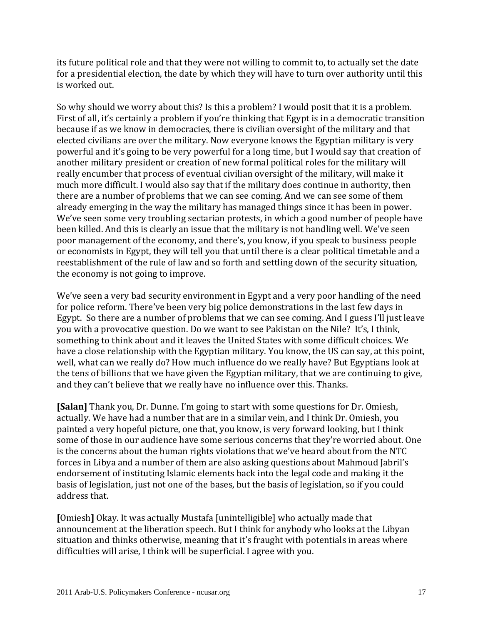its future political role and that they were not willing to commit to, to actually set the date for a presidential election, the date by which they will have to turn over authority until this is worked out.

So why should we worry about this? Is this a problem? I would posit that it is a problem. First of all, it's certainly a problem if you're thinking that Egypt is in a democratic transition because if as we know in democracies, there is civilian oversight of the military and that elected civilians are over the military. Now everyone knows the Egyptian military is very powerful and it's going to be very powerful for a long time, but I would say that creation of another military president or creation of new formal political roles for the military will really encumber that process of eventual civilian oversight of the military, will make it much more difficult. I would also say that if the military does continue in authority, then there are a number of problems that we can see coming. And we can see some of them already emerging in the way the military has managed things since it has been in power. We've seen some very troubling sectarian protests, in which a good number of people have been killed. And this is clearly an issue that the military is not handling well. We've seen poor management of the economy, and there's, you know, if you speak to business people or economists in Egypt, they will tell you that until there is a clear political timetable and a reestablishment of the rule of law and so forth and settling down of the security situation, the economy is not going to improve.

We've seen a very bad security environment in Egypt and a very poor handling of the need for police reform. There've been very big police demonstrations in the last few days in Egypt. So there are a number of problems that we can see coming. And I guess I'll just leave you with a provocative question. Do we want to see Pakistan on the Nile? It's, I think, something to think about and it leaves the United States with some difficult choices. We have a close relationship with the Egyptian military. You know, the US can say, at this point, well, what can we really do? How much influence do we really have? But Egyptians look at the tens of billions that we have given the Egyptian military, that we are continuing to give, and they can't believe that we really have no influence over this. Thanks.

**[Salan]** Thank you, Dr. Dunne. I'm going to start with some questions for Dr. Omiesh, actually. We have had a number that are in a similar vein, and I think Dr. Omiesh, you painted a very hopeful picture, one that, you know, is very forward looking, but I think some of those in our audience have some serious concerns that they're worried about. One is the concerns about the human rights violations that we've heard about from the NTC forces in Libya and a number of them are also asking questions about Mahmoud Jabril's endorsement of instituting Islamic elements back into the legal code and making it the basis of legislation, just not one of the bases, but the basis of legislation, so if you could address that.

**[**Omiesh**]** Okay. It was actually Mustafa [unintelligible] who actually made that announcement at the liberation speech. But I think for anybody who looks at the Libyan situation and thinks otherwise, meaning that it's fraught with potentials in areas where difficulties will arise, I think will be superficial. I agree with you.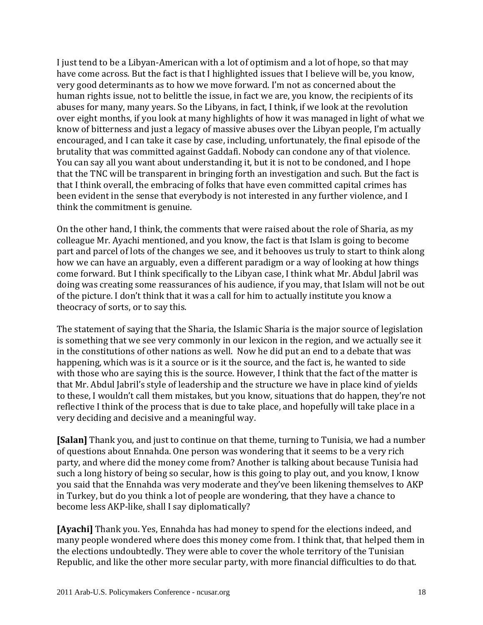I just tend to be a Libyan‐American with a lot of optimism and a lot of hope, so that may have come across. But the fact is that I highlighted issues that I believe will be, you know, very good determinants as to how we move forward. I'm not as concerned about the human rights issue, not to belittle the issue, in fact we are, you know, the recipients of its abuses for many, many years. So the Libyans, in fact, I think, if we look at the revolution over eight months, if you look at many highlights of how it was managed in light of what we know of bitterness and just a legacy of massive abuses over the Libyan people, I'm actually encouraged, and I can take it case by case, including, unfortunately, the final episode of the brutality that was committed against Gaddafi. Nobody can condone any of that violence. You can say all you want about understanding it, but it is not to be condoned, and I hope that the TNC will be transparent in bringing forth an investigation and such. But the fact is that I think overall, the embracing of folks that have even committed capital crimes has been evident in the sense that everybody is not interested in any further violence, and I think the commitment is genuine.

On the other hand, I think, the comments that were raised about the role of Sharia, as my colleague Mr. Ayachi mentioned, and you know, the fact is that Islam is going to become part and parcel of lots of the changes we see, and it behooves us truly to start to think along how we can have an arguably, even a different paradigm or a way of looking at how things come forward. But I think specifically to the Libyan case, I think what Mr. Abdul Jabril was doing was creating some reassurances of his audience, if you may, that Islam will not be out of the picture. I don't think that it was a call for him to actually institute you know a theocracy of sorts, or to say this.

The statement of saying that the Sharia, the Islamic Sharia is the major source of legislation is something that we see very commonly in our lexicon in the region, and we actually see it in the constitutions of other nations as well. Now he did put an end to a debate that was happening, which was is it a source or is it the source, and the fact is, he wanted to side with those who are saying this is the source. However, I think that the fact of the matter is that Mr. Abdul Jabril's style of leadership and the structure we have in place kind of yields to these, I wouldn't call them mistakes, but you know, situations that do happen, they're not reflective I think of the process that is due to take place, and hopefully will take place in a very deciding and decisive and a meaningful way.

**[Salan]** Thank you, and just to continue on that theme, turning to Tunisia, we had a number of questions about Ennahda. One person was wondering that it seems to be a very rich party, and where did the money come from? Another is talking about because Tunisia had such a long history of being so secular, how is this going to play out, and you know, I know you said that the Ennahda was very moderate and they've been likening themselves to AKP in Turkey, but do you think a lot of people are wondering, that they have a chance to become less AKP‐like, shall I say diplomatically?

**[Ayachi]** Thank you. Yes, Ennahda has had money to spend for the elections indeed, and many people wondered where does this money come from. I think that, that helped them in the elections undoubtedly. They were able to cover the whole territory of the Tunisian Republic, and like the other more secular party, with more financial difficulties to do that.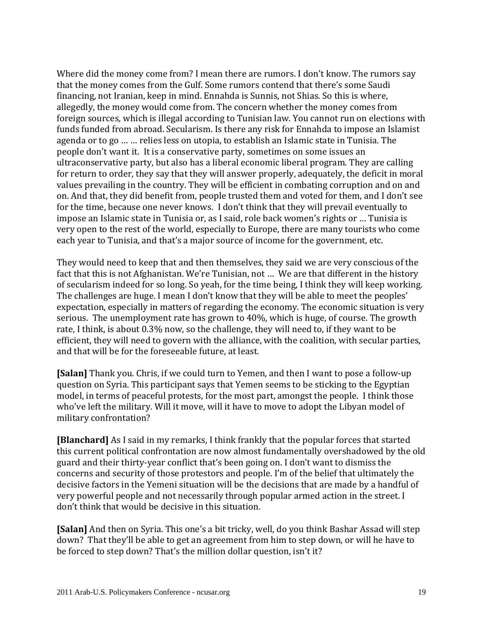Where did the money come from? I mean there are rumors. I don't know. The rumors say that the money comes from the Gulf. Some rumors contend that there's some Saudi financing, not Iranian, keep in mind. Ennahda is Sunnis, not Shias. So this is where, allegedly, the money would come from. The concern whether the money comes from foreign sources, which is illegal according to Tunisian law. You cannot run on elections with funds funded from abroad. Secularism. Is there any risk for Ennahda to impose an Islamist agenda or to go … … relies less on utopia, to establish an Islamic state in Tunisia. The people don't want it. It is a conservative party, sometimes on some issues an ultraconservative party, but also has a liberal economic liberal program. They are calling for return to order, they say that they will answer properly, adequately, the deficit in moral values prevailing in the country. They will be efficient in combating corruption and on and on. And that, they did benefit from, people trusted them and voted for them, and I don't see for the time, because one never knows. I don't think that they will prevail eventually to impose an Islamic state in Tunisia or, as I said, role back women's rights or … Tunisia is very open to the rest of the world, especially to Europe, there are many tourists who come each year to Tunisia, and that's a major source of income for the government, etc.

They would need to keep that and then themselves, they said we are very conscious of the fact that this is not Afghanistan. We're Tunisian, not … We are that different in the history of secularism indeed for so long. So yeah, for the time being, I think they will keep working. The challenges are huge. I mean I don't know that they will be able to meet the peoples' expectation, especially in matters of regarding the economy. The economic situation is very serious. The unemployment rate has grown to 40%, which is huge, of course. The growth rate, I think, is about 0.3% now, so the challenge, they will need to, if they want to be efficient, they will need to govern with the alliance, with the coalition, with secular parties, and that will be for the foreseeable future, at least.

**[Salan]** Thank you. Chris, if we could turn to Yemen, and then I want to pose a follow‐up question on Syria. This participant says that Yemen seems to be sticking to the Egyptian model, in terms of peaceful protests, for the most part, amongst the people. I think those who've left the military. Will it move, will it have to move to adopt the Libyan model of military confrontation?

**[Blanchard]** As I said in my remarks, I think frankly that the popular forces that started this current political confrontation are now almost fundamentally overshadowed by the old guard and their thirty‐year conflict that's been going on. I don't want to dismiss the concerns and security of those protestors and people. I'm of the belief that ultimately the decisive factors in the Yemeni situation will be the decisions that are made by a handful of very powerful people and not necessarily through popular armed action in the street. I don't think that would be decisive in this situation.

**[Salan]** And then on Syria. This one's a bit tricky, well, do you think Bashar Assad will step down? That they'll be able to get an agreement from him to step down, or will he have to be forced to step down? That's the million dollar question, isn't it?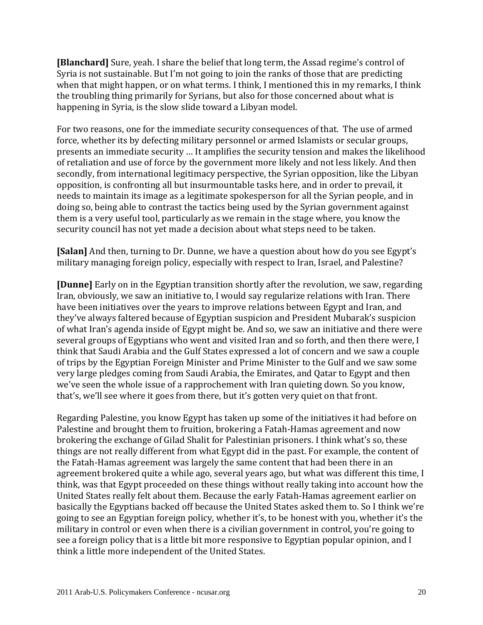**[Blanchard]** Sure, yeah. I share the belief that long term, the Assad regime's control of Syria is not sustainable. But I'm not going to join the ranks of those that are predicting when that might happen, or on what terms. I think, I mentioned this in my remarks, I think the troubling thing primarily for Syrians, but also for those concerned about what is happening in Syria, is the slow slide toward a Libyan model.

For two reasons, one for the immediate security consequences of that. The use of armed force, whether its by defecting military personnel or armed Islamists or secular groups, presents an immediate security … It amplifies the security tension and makes the likelihood of retaliation and use of force by the government more likely and not less likely. And then secondly, from international legitimacy perspective, the Syrian opposition, like the Libyan opposition, is confronting all but insurmountable tasks here, and in order to prevail, it needs to maintain its image as a legitimate spokesperson for all the Syrian people, and in doing so, being able to contrast the tactics being used by the Syrian government against them is a very useful tool, particularly as we remain in the stage where, you know the security council has not yet made a decision about what steps need to be taken.

**[Salan]** And then, turning to Dr. Dunne, we have a question about how do you see Egypt's military managing foreign policy, especially with respect to Iran, Israel, and Palestine?

**[Dunne]** Early on in the Egyptian transition shortly after the revolution, we saw, regarding Iran, obviously, we saw an initiative to, I would say regularize relations with Iran. There have been initiatives over the years to improve relations between Egypt and Iran, and they've always faltered because of Egyptian suspicion and President Mubarak's suspicion of what Iran's agenda inside of Egypt might be. And so, we saw an initiative and there were several groups of Egyptians who went and visited Iran and so forth, and then there were, I think that Saudi Arabia and the Gulf States expressed a lot of concern and we saw a couple of trips by the Egyptian Foreign Minister and Prime Minister to the Gulf and we saw some very large pledges coming from Saudi Arabia, the Emirates, and Qatar to Egypt and then we've seen the whole issue of a rapprochement with Iran quieting down. So you know, that's, we'll see where it goes from there, but it's gotten very quiet on that front.

Regarding Palestine, you know Egypt has taken up some of the initiatives it had before on Palestine and brought them to fruition, brokering a Fatah‐Hamas agreement and now brokering the exchange of Gilad Shalit for Palestinian prisoners. I think what's so, these things are not really different from what Egypt did in the past. For example, the content of the Fatah‐Hamas agreement was largely the same content that had been there in an agreement brokered quite a while ago, several years ago, but what was different this time, I think, was that Egypt proceeded on these things without really taking into account how the United States really felt about them. Because the early Fatah‐Hamas agreement earlier on basically the Egyptians backed off because the United States asked them to. So I think we're going to see an Egyptian foreign policy, whether it's, to be honest with you, whether it's the military in control or even when there is a civilian government in control, you're going to see a foreign policy that is a little bit more responsive to Egyptian popular opinion, and I think a little more independent of the United States.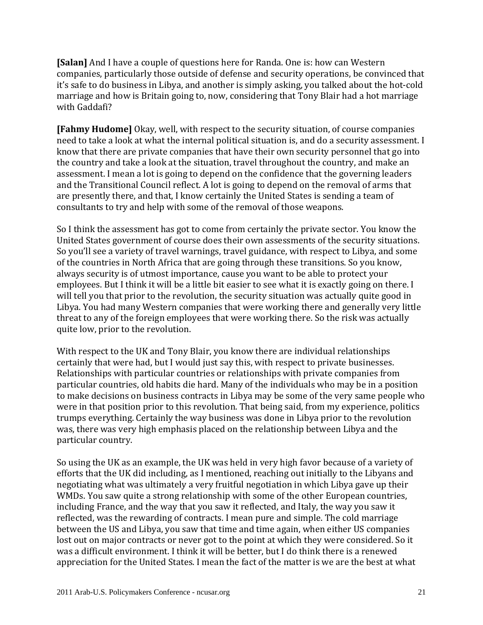**[Salan]** And I have a couple of questions here for Randa. One is: how can Western companies, particularly those outside of defense and security operations, be convinced that it's safe to do business in Libya, and another is simply asking, you talked about the hot‐cold marriage and how is Britain going to, now, considering that Tony Blair had a hot marriage with Gaddafi?

**[Fahmy Hudome]** Okay, well, with respect to the security situation, of course companies need to take a look at what the internal political situation is, and do a security assessment. I know that there are private companies that have their own security personnel that go into the country and take a look at the situation, travel throughout the country, and make an assessment. I mean a lot is going to depend on the confidence that the governing leaders and the Transitional Council reflect. A lot is going to depend on the removal of arms that are presently there, and that, I know certainly the United States is sending a team of consultants to try and help with some of the removal of those weapons.

So I think the assessment has got to come from certainly the private sector. You know the United States government of course does their own assessments of the security situations. So you'll see a variety of travel warnings, travel guidance, with respect to Libya, and some of the countries in North Africa that are going through these transitions. So you know, always security is of utmost importance, cause you want to be able to protect your employees. But I think it will be a little bit easier to see what it is exactly going on there. I will tell you that prior to the revolution, the security situation was actually quite good in Libya. You had many Western companies that were working there and generally very little threat to any of the foreign employees that were working there. So the risk was actually quite low, prior to the revolution.

With respect to the UK and Tony Blair, you know there are individual relationships certainly that were had, but I would just say this, with respect to private businesses. Relationships with particular countries or relationships with private companies from particular countries, old habits die hard. Many of the individuals who may be in a position to make decisions on business contracts in Libya may be some of the very same people who were in that position prior to this revolution. That being said, from my experience, politics trumps everything. Certainly the way business was done in Libya prior to the revolution was, there was very high emphasis placed on the relationship between Libya and the particular country.

So using the UK as an example, the UK was held in very high favor because of a variety of efforts that the UK did including, as I mentioned, reaching out initially to the Libyans and negotiating what was ultimately a very fruitful negotiation in which Libya gave up their WMDs. You saw quite a strong relationship with some of the other European countries, including France, and the way that you saw it reflected, and Italy, the way you saw it reflected, was the rewarding of contracts. I mean pure and simple. The cold marriage between the US and Libya, you saw that time and time again, when either US companies lost out on major contracts or never got to the point at which they were considered. So it was a difficult environment. I think it will be better, but I do think there is a renewed appreciation for the United States. I mean the fact of the matter is we are the best at what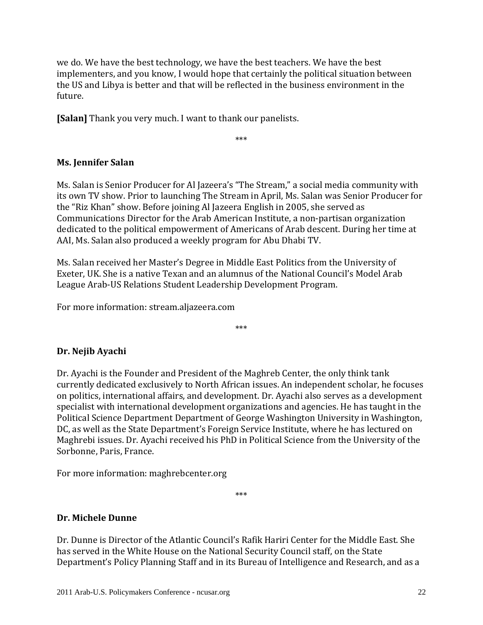we do. We have the best technology, we have the best teachers. We have the best implementers, and you know, I would hope that certainly the political situation between the US and Libya is better and that will be reflected in the business environment in the future.

**[Salan]** Thank you very much. I want to thank our panelists.

\*\*\*

# **Ms. Jennifer Salan**

Ms. Salan is Senior Producer for Al Jazeera's "The Stream," a social media community with its own TV show. Prior to launching The Stream in April, Ms. Salan was Senior Producer for the "Riz Khan" show. Before joining Al Jazeera English in 2005, she served as Communications Director for the Arab American Institute, a non‐partisan organization dedicated to the political empowerment of Americans of Arab descent. During her time at AAI, Ms. Salan also produced a weekly program for Abu Dhabi TV.

Ms. Salan received her Master's Degree in Middle East Politics from the University of Exeter, UK. She is a native Texan and an alumnus of the National Council's Model Arab League Arab‐US Relations Student Leadership Development Program.

For more information: stream.aljazeera.com

\*\*\*

# **Dr. Nejib Ayachi**

Dr. Ayachi is the Founder and President of the Maghreb Center, the only think tank currently dedicated exclusively to North African issues. An independent scholar, he focuses on politics, international affairs, and development. Dr. Ayachi also serves as a development specialist with international development organizations and agencies. He has taught in the Political Science Department Department of George Washington University in Washington, DC, as well as the State Department's Foreign Service Institute, where he has lectured on Maghrebi issues. Dr. Ayachi received his PhD in Political Science from the University of the Sorbonne, Paris, France.

For more information: maghrebcenter.org

\*\*\*

### **Dr. Michele Dunne**

Dr. Dunne is Director of the Atlantic Council's Rafik Hariri Center for the Middle East. She has served in the White House on the National Security Council staff, on the State Department's Policy Planning Staff and in its Bureau of Intelligence and Research, and as a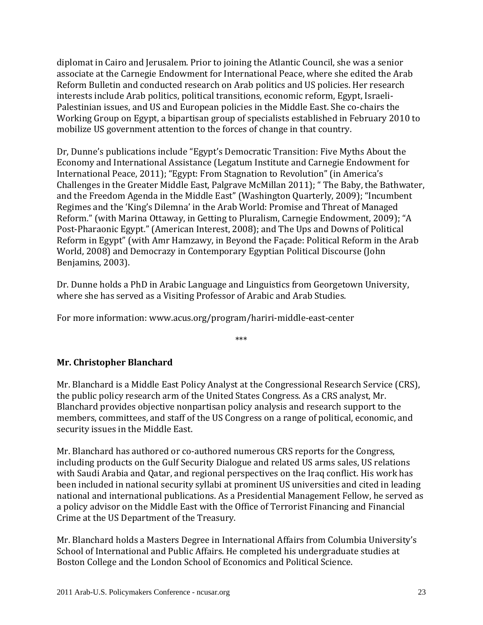diplomat in Cairo and Jerusalem. Prior to joining the Atlantic Council, she was a senior associate at the Carnegie Endowment for International Peace, where she edited the Arab Reform Bulletin and conducted research on Arab politics and US policies. Her research interests include Arab politics, political transitions, economic reform, Egypt, Israeli‐ Palestinian issues, and US and European policies in the Middle East. She co‐chairs the Working Group on Egypt, a bipartisan group of specialists established in February 2010 to mobilize US government attention to the forces of change in that country.

Dr, Dunne's publications include "Egypt's Democratic Transition: Five Myths About the Economy and International Assistance (Legatum Institute and Carnegie Endowment for International Peace, 2011); "Egypt: From Stagnation to Revolution" (in America's Challenges in the Greater Middle East, Palgrave McMillan 2011); " The Baby, the Bathwater, and the Freedom Agenda in the Middle East" (Washington Quarterly, 2009); "Incumbent Regimes and the 'King's Dilemna' in the Arab World: Promise and Threat of Managed Reform." (with Marina Ottaway, in Getting to Pluralism, Carnegie Endowment, 2009); "A Post‐Pharaonic Egypt." (American Interest, 2008); and The Ups and Downs of Political Reform in Egypt" (with Amr Hamzawy, in Beyond the Façade: Political Reform in the Arab World, 2008) and Democrazy in Contemporary Egyptian Political Discourse (John Benjamins, 2003).

Dr. Dunne holds a PhD in Arabic Language and Linguistics from Georgetown University, where she has served as a Visiting Professor of Arabic and Arab Studies.

For more information: www.acus.org/program/hariri‐middle‐east‐center

\*\*\*

### **Mr. Christopher Blanchard**

Mr. Blanchard is a Middle East Policy Analyst at the Congressional Research Service (CRS), the public policy research arm of the United States Congress. As a CRS analyst, Mr. Blanchard provides objective nonpartisan policy analysis and research support to the members, committees, and staff of the US Congress on a range of political, economic, and security issues in the Middle East.

Mr. Blanchard has authored or co-authored numerous CRS reports for the Congress, including products on the Gulf Security Dialogue and related US arms sales, US relations with Saudi Arabia and Qatar, and regional perspectives on the Iraq conflict. His work has been included in national security syllabi at prominent US universities and cited in leading national and international publications. As a Presidential Management Fellow, he served as a policy advisor on the Middle East with the Office of Terrorist Financing and Financial Crime at the US Department of the Treasury.

Mr. Blanchard holds a Masters Degree in International Affairs from Columbia University's School of International and Public Affairs. He completed his undergraduate studies at Boston College and the London School of Economics and Political Science.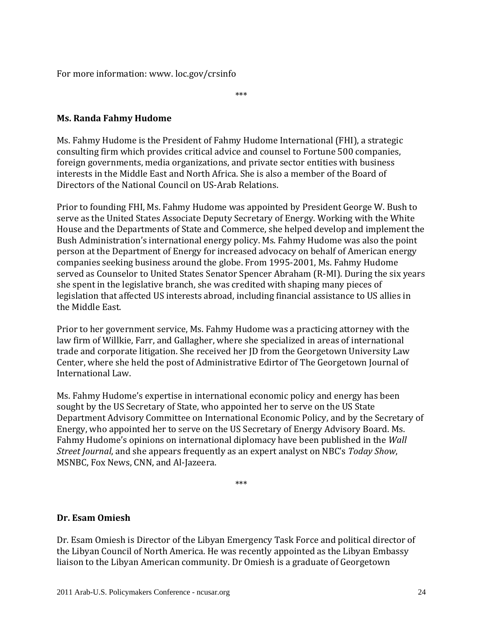For more information: www. loc.gov/crsinfo

\*\*\*

### **Ms. Randa Fahmy Hudome**

Ms. Fahmy Hudome is the President of Fahmy Hudome International (FHI), a strategic consulting firm which provides critical advice and counsel to Fortune 500 companies, foreign governments, media organizations, and private sector entities with business interests in the Middle East and North Africa. She is also a member of the Board of Directors of the National Council on US‐Arab Relations.

Prior to founding FHI, Ms. Fahmy Hudome was appointed by President George W. Bush to serve as the United States Associate Deputy Secretary of Energy. Working with the White House and the Departments of State and Commerce, she helped develop and implement the Bush Administration's international energy policy. Ms. Fahmy Hudome was also the point person at the Department of Energy for increased advocacy on behalf of American energy companies seeking business around the globe. From 1995‐2001, Ms. Fahmy Hudome served as Counselor to United States Senator Spencer Abraham (R-MI). During the six years she spent in the legislative branch, she was credited with shaping many pieces of legislation that affected US interests abroad, including financial assistance to US allies in the Middle East.

Prior to her government service, Ms. Fahmy Hudome was a practicing attorney with the law firm of Willkie, Farr, and Gallagher, where she specialized in areas of international trade and corporate litigation. She received her JD from the Georgetown University Law Center, where she held the post of Administrative Edirtor of The Georgetown Journal of International Law.

Ms. Fahmy Hudome's expertise in international economic policy and energy has been sought by the US Secretary of State, who appointed her to serve on the US State Department Advisory Committee on International Economic Policy, and by the Secretary of Energy, who appointed her to serve on the US Secretary of Energy Advisory Board. Ms. Fahmy Hudome's opinions on international diplomacy have been published in the *Wall Street Journal*, and she appears frequently as an expert analyst on NBC's *Today Show*, MSNBC, Fox News, CNN, and Al‐Jazeera.

\*\*\*

### **Dr. Esam Omiesh**

Dr. Esam Omiesh is Director of the Libyan Emergency Task Force and political director of the Libyan Council of North America. He was recently appointed as the Libyan Embassy liaison to the Libyan American community. Dr Omiesh is a graduate of Georgetown